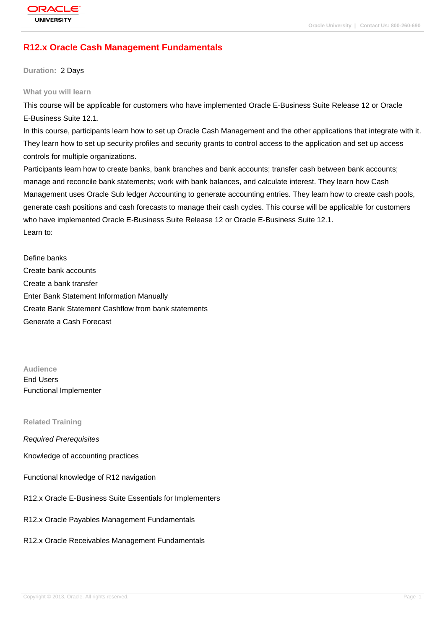# **[R12.x Oracle C](http://education.oracle.com/pls/web_prod-plq-dad/db_pages.getpage?page_id=3)ash Management Fundamentals**

**Duration:** 2 Days

#### **What you will learn**

This course will be applicable for customers who have implemented Oracle E-Business Suite Release 12 or Oracle E-Business Suite 12.1.

In this course, participants learn how to set up Oracle Cash Management and the other applications that integrate with it. They learn how to set up security profiles and security grants to control access to the application and set up access controls for multiple organizations.

Participants learn how to create banks, bank branches and bank accounts; transfer cash between bank accounts; manage and reconcile bank statements; work with bank balances, and calculate interest. They learn how Cash Management uses Oracle Sub ledger Accounting to generate accounting entries. They learn how to create cash pools, generate cash positions and cash forecasts to manage their cash cycles. This course will be applicable for customers who have implemented Oracle E-Business Suite Release 12 or Oracle E-Business Suite 12.1. Learn to:

Define banks Create bank accounts Create a bank transfer Enter Bank Statement Information Manually Create Bank Statement Cashflow from bank statements Generate a Cash Forecast

**Audience** End Users Functional Implementer

#### **Related Training**

Required Prerequisites

Knowledge of accounting practices

Functional knowledge of R12 navigation

R12.x Oracle E-Business Suite Essentials for Implementers

R12.x Oracle Payables Management Fundamentals

R12.x Oracle Receivables Management Fundamentals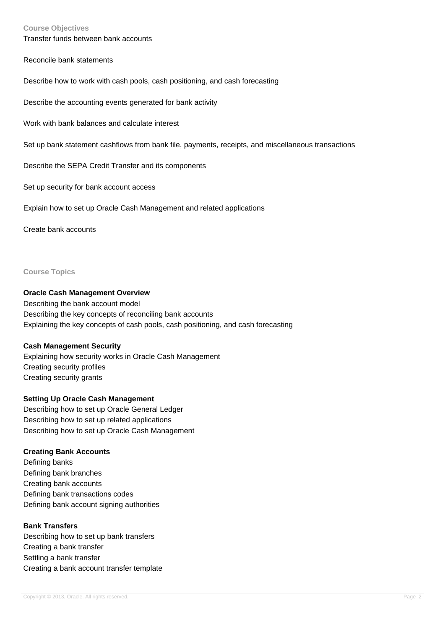#### **Course Objectives**

Transfer funds between bank accounts

Reconcile bank statements

Describe how to work with cash pools, cash positioning, and cash forecasting

Describe the accounting events generated for bank activity

Work with bank balances and calculate interest

Set up bank statement cashflows from bank file, payments, receipts, and miscellaneous transactions

Describe the SEPA Credit Transfer and its components

Set up security for bank account access

Explain how to set up Oracle Cash Management and related applications

Create bank accounts

**Course Topics**

#### **Oracle Cash Management Overview**

Describing the bank account model Describing the key concepts of reconciling bank accounts Explaining the key concepts of cash pools, cash positioning, and cash forecasting

# **Cash Management Security**

Explaining how security works in Oracle Cash Management Creating security profiles Creating security grants

# **Setting Up Oracle Cash Management**

Describing how to set up Oracle General Ledger Describing how to set up related applications Describing how to set up Oracle Cash Management

# **Creating Bank Accounts**

Defining banks Defining bank branches Creating bank accounts Defining bank transactions codes Defining bank account signing authorities

### **Bank Transfers**

Describing how to set up bank transfers Creating a bank transfer Settling a bank transfer Creating a bank account transfer template